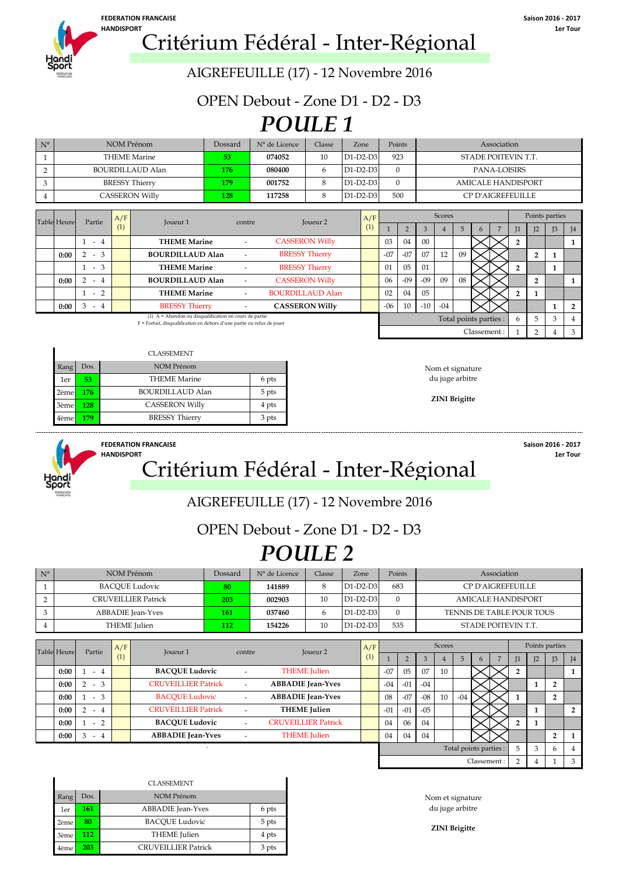

HANDISPORT **1.1 Critérium Fédéral - Inter-Régional** 

## AIGREFEUILLE (17) - 12 Novembre 2016

OPEN Debout - Zone D1 - D2 - D3 *POULE 1*

| $N^{\circ}$ | <b>NOM Prénom</b>                                          | Dossard | N° de Licence | Classe              | Zone       | Points   | Association                                         |
|-------------|------------------------------------------------------------|---------|---------------|---------------------|------------|----------|-----------------------------------------------------|
|             | <b>THEME Marine</b>                                        | 53      | 074052        | 10                  | $D1-D2-D3$ | 923      | STADE POITEVIN T.T.                                 |
|             | BOURDILLAUD Alan                                           | 176     | 080400        | 6                   | $D1-D2-D3$ | $\Omega$ | PANA-LOISIRS                                        |
|             | <b>BRESSY Thierry</b>                                      | 179     | 001752        | 8                   | $D1-D2-D3$ | $\Omega$ | <b>AMICALE HANDISPORT</b>                           |
|             | <b>CASSERON Willy</b>                                      | 128     | 117258        |                     | $D1-D2-D3$ | 500      | CP D'AIGREFEUILLE                                   |
|             |                                                            |         |               |                     |            |          |                                                     |
|             | A/F<br><b>Table Heure</b><br>Partie<br>Joueur <sub>1</sub> | contre  |               | Joueur <sub>2</sub> | A/F        |          | Points parties<br>Scores                            |
|             |                                                            |         |               |                     |            |          | I2<br>I <sup>3</sup><br>I <sub>1</sub><br>$I\Delta$ |

|      |                     | _________                                                                                                                              |        | _________               | (1) |       |                |                |       |                        |  | I <sub>1</sub> | I2. | I3 | $\overline{14}$ |
|------|---------------------|----------------------------------------------------------------------------------------------------------------------------------------|--------|-------------------------|-----|-------|----------------|----------------|-------|------------------------|--|----------------|-----|----|-----------------|
|      | $\overline{a}$      | <b>THEME Marine</b>                                                                                                                    |        | <b>CASSERON Willy</b>   |     | 03    | 04             | 0 <sup>0</sup> |       |                        |  |                |     |    |                 |
| 0:00 | $-3$                | <b>BOURDILLAUD Alan</b>                                                                                                                | $\sim$ | <b>BRESSY Thierry</b>   |     | $-07$ | $-07$          | 07             | 12    | 09                     |  |                |     |    |                 |
|      | $-3$                | <b>THEME Marine</b>                                                                                                                    |        | <b>BRESSY Thierry</b>   |     | 01    | 0 <sub>5</sub> | 01             |       |                        |  |                |     |    |                 |
| 0:00 | - 4                 | <b>BOURDILLAUD Alan</b>                                                                                                                |        | <b>CASSERON Willy</b>   |     | 06    | $-09$          | $-09$          | 09    | 08                     |  |                |     |    |                 |
|      | ∍<br>$\overline{a}$ | <b>THEME Marine</b>                                                                                                                    |        | <b>BOURDILLAUD Alan</b> |     | 02    | 04             | 0 <sub>5</sub> |       |                        |  |                |     |    |                 |
| 0:00 | $-4$                | <b>BRESSY Thierry</b>                                                                                                                  |        | <b>CASSERON Willy</b>   |     | $-06$ | 10             | $-10$          | $-04$ |                        |  |                |     |    |                 |
|      |                     | $(1)$ A = Abandon ou disqualification en cours de partie<br>$E =$ Rowfolk, discussibilization on dabout d'une portio ou refus de jouer |        |                         |     |       |                |                |       | Total points parties : |  |                |     |    |                 |

(1) A = Abandon ou disqualification en cours de partie F = Forfait, disqualification en dehors d'une partie ou refus de jouer

|                   |      | <b>CLASSEMENT</b>     |       |
|-------------------|------|-----------------------|-------|
| Rang              | Dos. | <b>NOM Prénom</b>     |       |
| 1er               | 53   | <b>THEME Marine</b>   | 6 pts |
| 2ème              | 176  | BOURDILLAUD Alan      | 5 pts |
| 3ème              | 128  | <b>CASSERON Willy</b> | 4 pts |
| 4ème <sup>l</sup> | 179  | <b>BRESSY Thierry</b> | 3 pts |

Classement :



# HANDISPORT **1.1 Critérium Fédéral - Inter-Régional**

**FEDERATION FRANCAISE Saison 2016 - 2017**

 $1 \quad 2 \quad 4 \quad 3$ 

## AIGREFEUILLE (17) - 12 Novembre 2016

### OPEN Debout - Zone D1 - D2 - D3

## *POULE 2*

| $N^{\circ}$ | NOM Prénom                 | Dossard | N° de Licence | Classe | Zone                 | Points                             | Association               |  |  |  |  |
|-------------|----------------------------|---------|---------------|--------|----------------------|------------------------------------|---------------------------|--|--|--|--|
|             | <b>BACOUE Ludovic</b>      | 80      | 141889        | 8      | $D1-D2-D3$           | 683                                | <b>CP D'AIGREFEUILLE</b>  |  |  |  |  |
| $\sim$      | <b>CRUVEILLIER Patrick</b> | 203     | 002903        | 10     | $D1-D2-D3$           | $\Omega$                           | <b>AMICALE HANDISPORT</b> |  |  |  |  |
| $\circ$     | <b>ABBADIE</b> Jean-Yves   | 161     | 037460        | 6      | $D1-D2-D3$           | $\Omega$                           | TENNIS DE TABLE POUR TOUS |  |  |  |  |
|             | THEME Julien               | 112     | 154226        | 10     | $D1-D2-D3$           | 535                                | STADE POITEVIN T.T.       |  |  |  |  |
|             |                            |         |               |        |                      |                                    |                           |  |  |  |  |
|             | $\sim$ $\sim$ $\sim$       |         |               |        | $\sim$ $\sim$ $\sim$ | Pointe parties<br>C <sub>cor</sub> |                           |  |  |  |  |

| <b>Table Heure</b> | Partie    | A/F | Joueur 1                   | contre | Joueur 2                   | A/F |                        |       |       | <b>Scores</b> |       |                |    | Points parties |    |                |
|--------------------|-----------|-----|----------------------------|--------|----------------------------|-----|------------------------|-------|-------|---------------|-------|----------------|----|----------------|----|----------------|
|                    |           | (1) |                            |        |                            | (1) |                        |       |       |               | 5     | $\mathfrak{h}$ | I1 | $\mathsf{I}2$  | 13 | I <sub>4</sub> |
| 0:00               | $-4$      |     | <b>BACOUE Ludovic</b>      |        | <b>THEME</b> Julien        |     | $-07$                  | 05    | 07    | 10            |       |                |    |                |    |                |
| 0:00               | $-3$      |     | <b>CRUVEILLIER Patrick</b> |        | <b>ABBADIE</b> Jean-Yves   |     | $-04$                  | -01   | $-04$ |               |       |                |    |                |    |                |
| 0:00               | $-3$      |     | <b>BACOUE Ludovic</b>      |        | <b>ABBADIE</b> Jean-Yves   |     | 08                     | $-07$ | $-08$ | 10            | $-04$ |                |    |                |    |                |
| 0:00               | $-4$      |     | <b>CRUVEILLIER Patrick</b> |        | <b>THEME</b> Julien        |     | $-01$                  | $-01$ | $-05$ |               |       |                |    |                |    | $\overline{2}$ |
| 0:00               | $-2$      |     | <b>BACOUE Ludovic</b>      |        | <b>CRUVEILLIER Patrick</b> |     | 04                     | 06    | 04    |               |       |                |    |                |    |                |
| 0:00               | 3<br>$-4$ |     | <b>ABBADIE</b> Jean-Yves   |        | <b>THEME</b> Julien        |     | 04                     | 04    | 04    |               |       |                |    |                |    |                |
|                    |           |     |                            |        |                            |     | Total points parties : |       |       | 5             | 3     |                |    |                |    |                |

|        |      | <b>CLASSEMENT</b>          |       |
|--------|------|----------------------------|-------|
| Rang   | Dos. | NOM Prénom                 |       |
| 1er    | 161  | <b>ABBADIE</b> Jean-Yves   | 6 pts |
| 2ème   | 80   | <b>BACOUE Ludovic</b>      | 5 pts |
| 3ème   | 112  | THEME Julien               | 4 pts |
| 4ème l | 203  | <b>CRUVEILLIER Patrick</b> | 3 pts |

Classement :  $2 \mid 4 \mid 1 \mid 3$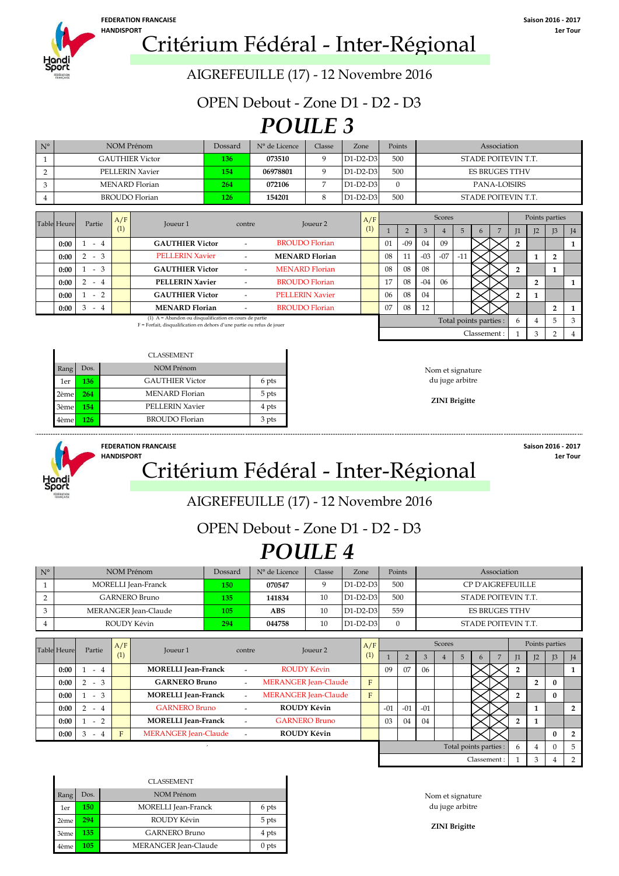

HANDISPORT **Critérium Fédéral - Inter-Régional** 

## AIGREFEUILLE (17) - 12 Novembre 2016

OPEN Debout - Zone D1 - D2 - D3

*POULE 3*

| $N^{\circ}$    |                    |                          |     | <b>NOM Prénom</b>      | Dossard | N° de Licence | Classe                 | Zone       |    | Points   |       |               |       |                | Association           |                |                |                |   |
|----------------|--------------------|--------------------------|-----|------------------------|---------|---------------|------------------------|------------|----|----------|-------|---------------|-------|----------------|-----------------------|----------------|----------------|----------------|---|
| м              |                    |                          |     | <b>GAUTHIER Victor</b> | 136     | 073510        | 9                      | $D1-D2-D3$ |    | 500      |       |               |       |                | STADE POITEVIN T.T.   |                |                |                |   |
| $\overline{2}$ |                    |                          |     | <b>PELLERIN Xavier</b> | 154     | 06978801      | 9                      | $D1-D2-D3$ |    | 500      |       |               |       |                | <b>ES BRUGES TTHV</b> |                |                |                |   |
| 3              |                    |                          |     | MENARD Florian         | 264     | 072106        | 7                      | $D1-D2-D3$ |    | $\theta$ |       |               |       |                | PANA-LOISIRS          |                |                |                |   |
| $\overline{4}$ |                    |                          |     | <b>BROUDO</b> Florian  | 126     | 154201        | 8                      | $D1-D2-D3$ |    | 500      |       |               |       |                | STADE POITEVIN T.T.   |                |                |                |   |
|                |                    |                          |     |                        |         |               |                        |            |    |          |       |               |       |                |                       |                |                |                |   |
|                | <b>Table Heure</b> | Partie                   | A/F | Joueur 1               | contre  |               | Joueur <sub>2</sub>    | A/F        |    |          |       | <b>Scores</b> |       |                |                       |                |                | Points parties |   |
|                |                    |                          | (1) |                        |         |               |                        | (1)        |    |          | 3     |               | 5     | $\mathfrak{b}$ | 7                     | $\mathbf{L}$   | J <sub>2</sub> | J <sub>3</sub> | 4 |
|                | 0:00               | $-4$                     |     | <b>GAUTHIER Victor</b> |         |               | <b>BROUDO</b> Florian  |            | 01 | $-09$    | 04    | 09            |       |                |                       | $\overline{2}$ |                |                |   |
|                | 0:00               | $\overline{2}$<br>$-3$   |     | <b>PELLERIN Xavier</b> |         |               | <b>MENARD Florian</b>  |            | 08 | 11       | $-03$ | $-07$         | $-11$ |                |                       |                |                | 2              |   |
|                | 0:00               | $-3$                     |     | <b>GAUTHIER Victor</b> |         |               | <b>MENARD Florian</b>  |            | 08 | 08       | 08    |               |       |                |                       | $\overline{2}$ |                |                |   |
|                | 0:00               | $\overline{2}$<br>$-4$   |     | <b>PELLERIN Xavier</b> |         |               | <b>BROUDO Florian</b>  |            | 17 | 08       | $-04$ | 06            |       |                |                       |                | $\overline{2}$ |                |   |
|                | 0:00               | $\overline{2}$<br>$\sim$ |     | <b>GAUTHIER Victor</b> |         |               | <b>PELLERIN Xavier</b> |            | 06 | 08       | 04    |               |       |                |                       | 2              |                |                |   |

**0:00** 3 - 4 - 07 08 12 **2 1 MENARD Florian** BROUDO Florian

(1) A = Abandon ou disqualification en cours de partie F = Forfait, disqualification en dehors d'une partie ou refus de jouer

|                   |      | <b>CLASSEMENT</b>      |       |
|-------------------|------|------------------------|-------|
| Rang              | Dos. | NOM Prénom             |       |
| 1er               | 136  | <b>GAUTHIER Victor</b> | 6 pts |
| 2ème              | 264  | MENARD Florian         | 5 pts |
| 3ème <sup>l</sup> | 154  | <b>PELLERIN Xavier</b> | 4 pts |
| 4ème              | 126  | <b>BROUDO</b> Florian  | 3 pts |

Total points parties Classement :



## **FEDERATION FRANCAISE Saison 2016 - 2017** HANDISPORT **Critérium Fédéral - Inter-Régional**

6 4 5 3 1 3 2 4

## AIGREFEUILLE (17) - 12 Novembre 2016

OPEN Debout - Zone D1 - D2 - D3

## *POULE 4*

| $N^{\circ}$ | NOM Prénom           | Dossard | N° de Licence | Classe | Zone       | Points | Association           |
|-------------|----------------------|---------|---------------|--------|------------|--------|-----------------------|
|             | MORELLI Jean-Franck  | 150     | 070547        |        | $D1-D2-D3$ | 500    | CP D'AIGREFEUILLE     |
|             | <b>GARNERO</b> Bruno | 135     | 141834        | 10     | $D1-D2-D3$ | 500    | STADE POITEVIN T.T.   |
|             | MERANGER Jean-Claude | 105     | ABS           | 10     | $D1-D2-D3$ | 559    | <b>ES BRUGES TTHV</b> |
|             | ROUDY Kévin          | 294     | 044758        | 10     | $D1-D2-D3$ |        | STADE POITEVIN T.T.   |

| <b>Table Heure</b> | Partie                   | A/F<br>Joueur <sub>2</sub><br>Joueur 1<br>contre |                             |        | A/F                         | <b>Scores</b> |       |       |       |  |                        |   | Points parties |    |                |                |                 |
|--------------------|--------------------------|--------------------------------------------------|-----------------------------|--------|-----------------------------|---------------|-------|-------|-------|--|------------------------|---|----------------|----|----------------|----------------|-----------------|
|                    |                          | (1)                                              |                             |        |                             | (1)           |       |       |       |  | 5                      | n |                | 11 | J2             | I <sub>3</sub> | $\overline{14}$ |
| 0:00               | $-4$                     |                                                  | <b>MORELLI</b> Jean-Franck  |        | <b>ROUDY Kévin</b>          |               | 09    | 07    | 06    |  |                        |   |                |    |                |                |                 |
| 0:00               | $-3$                     |                                                  | <b>GARNERO Bruno</b>        | $\sim$ | <b>MERANGER</b> Jean-Claude | F             |       |       |       |  |                        |   |                |    | $\overline{2}$ | $\bf{0}$       |                 |
| 0:00               | $-3$                     |                                                  | <b>MORELLI</b> Jean-Franck  | $\sim$ | <b>MERANGER</b> Jean-Claude | F             |       |       |       |  |                        |   |                |    |                | $\bf{0}$       |                 |
| 0:00               | $-4$                     |                                                  | <b>GARNERO Bruno</b>        |        | ROUDY Kévin                 |               | $-01$ | $-01$ | $-01$ |  |                        |   |                |    |                |                |                 |
| 0:00               | $\overline{2}$<br>$\sim$ |                                                  | <b>MORELLI</b> Jean-Franck  |        | <b>GARNERO Bruno</b>        |               | 03    | 04    | 04    |  |                        |   |                |    |                |                |                 |
| 0:00               | 3<br>$-4$                |                                                  | <b>MERANGER Jean-Claude</b> |        | ROUDY Kévin                 |               |       |       |       |  |                        |   |                |    |                |                |                 |
|                    |                          |                                                  |                             |        |                             |               |       |       |       |  | Total points parties : |   |                | 6  | 4              |                |                 |
|                    |                          |                                                  |                             |        |                             |               |       |       |       |  |                        |   |                |    |                |                |                 |

|      |      | <b>CLASSEMENT</b>    |         |
|------|------|----------------------|---------|
| Rang | Dos. | <b>NOM Prénom</b>    |         |
| 1er  | 150  | MORELLI Jean-Franck  | 6 pts   |
| 2ème | 294  | ROUDY Kévin          | 5 pts   |
| 3ème | 135  | <b>GARNERO Bruno</b> | 4 pts   |
| 4ème | 105  | MERANGER Jean-Claude | $0$ pts |

 $\text{Classement}: \begin{array}{|c|c|c|c|c|} 1 & 3 & 4 & 2 \end{array}$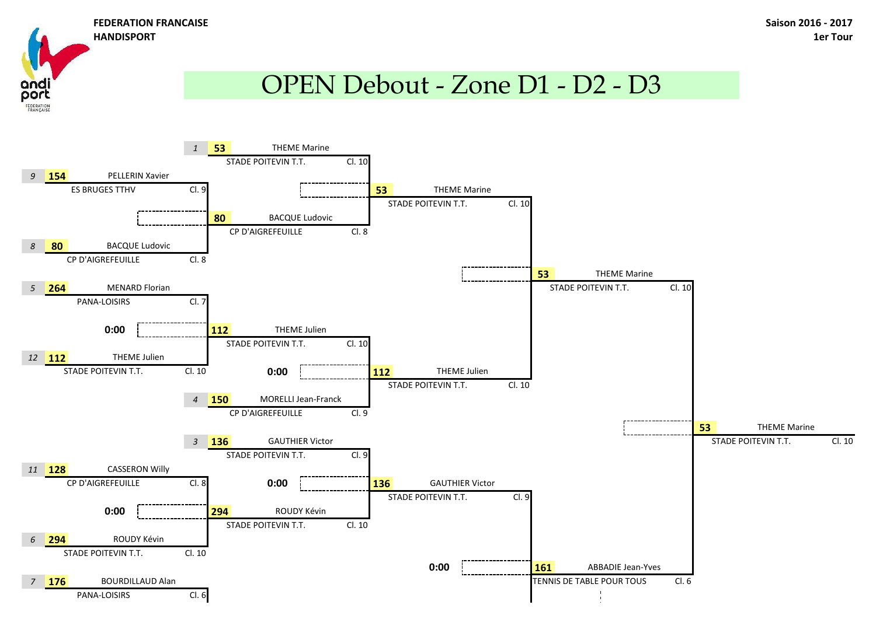

# OPEN Debout - Zone D1 - D2 - D3

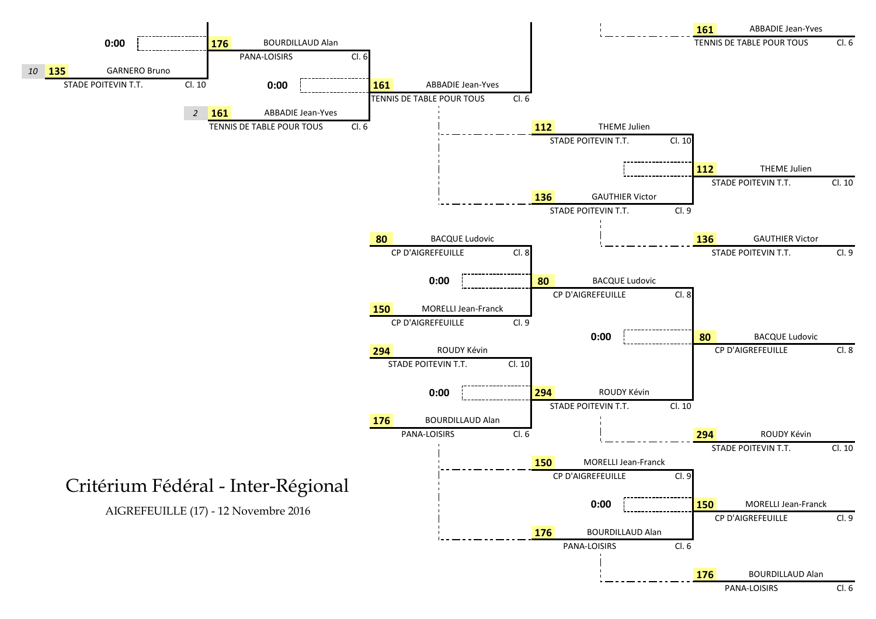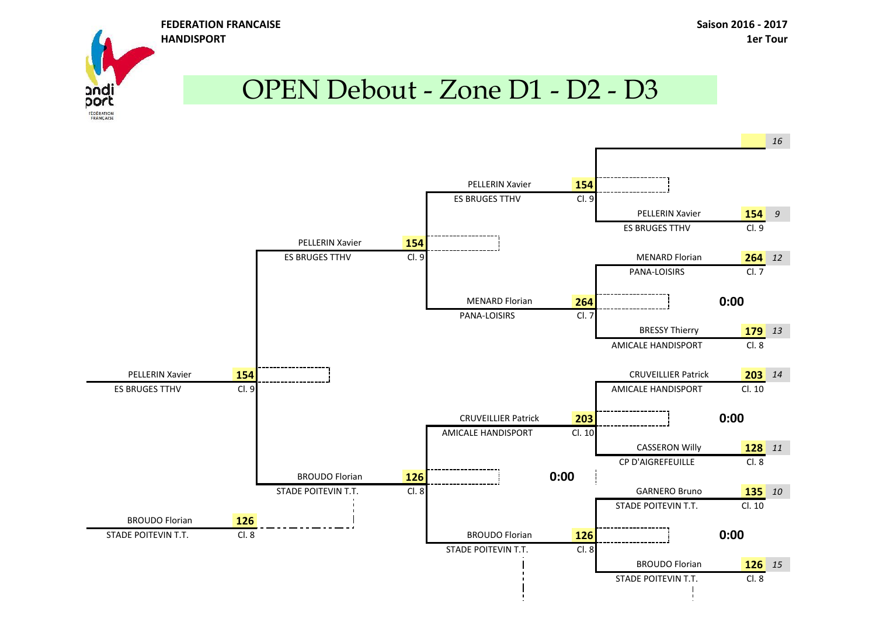

# OPEN Debout - Zone D1 - D2 - D3

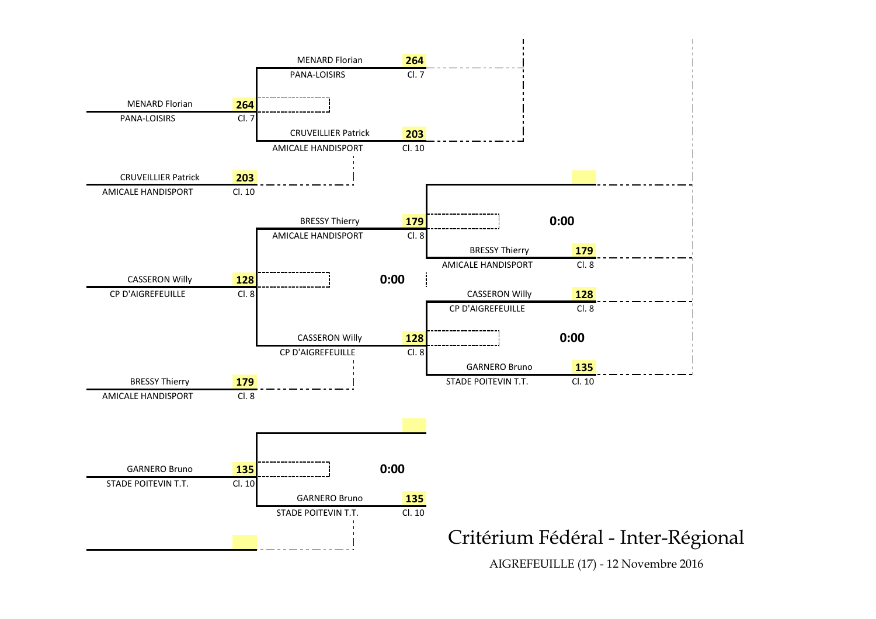

AIGREFEUILLE (17) - 12 Novembre 2016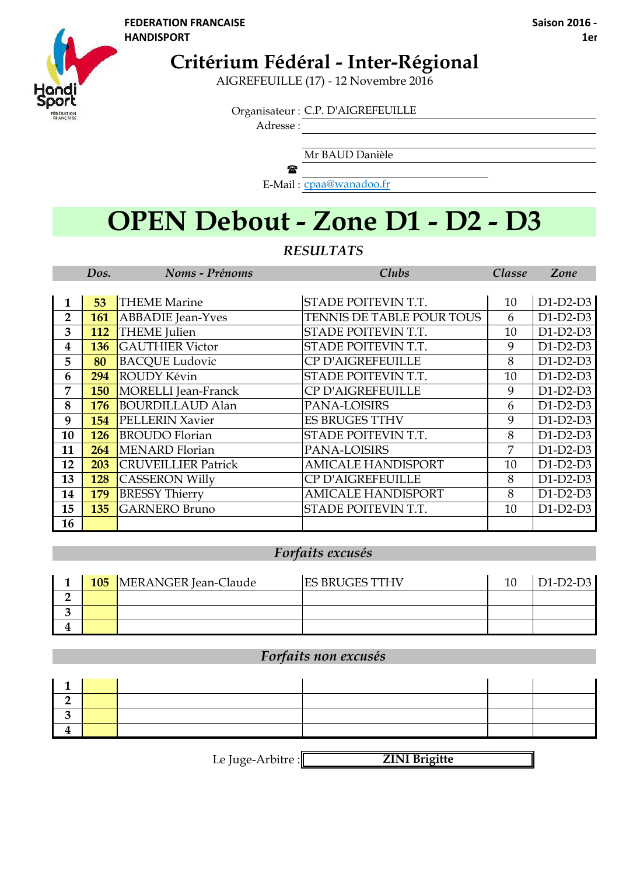

## **Critérium Fédéral - Inter-Régional**

AIGREFEUILLE (17) - 12 Novembre 2016

Organisateur : C.P. D'AIGREFEUILLE

Adresse :

Mr BAUD Danièle

 $\mathbf{r}$ 

E-Mail: cpaa@wanadoo.fr

# **OPEN Debout - Zone D1 - D2 - D3**

#### *RESULTATS*

|                | Dos. | Noms - Prénoms             | Clubs                     | Classe | Zone       |
|----------------|------|----------------------------|---------------------------|--------|------------|
|                |      |                            |                           |        |            |
| 1              | 53   | <b>THEME Marine</b>        | STADE POITEVIN T.T.       | 10     | $D1-D2-D3$ |
| $\overline{2}$ | 161  | <b>ABBADIE</b> Jean-Yves   | TENNIS DE TABLE POUR TOUS | 6      | $D1-D2-D3$ |
| 3              | 112  | <b>THEME</b> Julien        | STADE POITEVIN T.T.       | 10     | $D1-D2-D3$ |
| 4              | 136  | <b>GAUTHIER Victor</b>     | STADE POITEVIN T.T.       | 9      | $D1-D2-D3$ |
| 5              | 80   | <b>BACQUE Ludovic</b>      | CP D'AIGREFEUILLE         | 8      | $D1-D2-D3$ |
| 6              | 294  | ROUDY Kévin                | STADE POITEVIN T.T.       | 10     | $D1-D2-D3$ |
| 7              | 150  | MORELLI Jean-Franck        | CP D'AIGREFEUILLE         | 9      | $D1-D2-D3$ |
| 8              | 176  | <b>BOURDILLAUD Alan</b>    | PANA-LOISIRS              | 6      | $D1-D2-D3$ |
| 9              | 154  | PELLERIN Xavier            | <b>ES BRUGES TTHV</b>     | 9      | $D1-D2-D3$ |
| 10             | 126  | <b>BROUDO</b> Florian      | STADE POITEVIN T.T.       | 8      | $D1-D2-D3$ |
| 11             | 264  | MENARD Florian             | PANA-LOISIRS              | 7      | $D1-D2-D3$ |
| 12             | 203  | <b>CRUVEILLIER Patrick</b> | <b>AMICALE HANDISPORT</b> | 10     | $D1-D2-D3$ |
| 13             | 128  | <b>CASSERON Willy</b>      | CP D'AIGREFEUILLE         | 8      | $D1-D2-D3$ |
| 14             | 179  | <b>BRESSY Thierry</b>      | <b>AMICALE HANDISPORT</b> | 8      | $D1-D2-D3$ |
| 15             | 135  | <b>GARNERO Bruno</b>       | STADE POITEVIN T.T.       | 10     | $D1-D2-D3$ |
| 16             |      |                            |                           |        |            |

#### *Forfaits excusés*

|  | <b>105</b> MERANGER Jean-Claude | <b>ES BRUGES TTHV</b> | $D1-D2-D3$ |
|--|---------------------------------|-----------------------|------------|
|  |                                 |                       |            |
|  |                                 |                       |            |
|  |                                 |                       |            |

#### *Forfaits non excusés*

Le Juge-Arbitre :

**ZINI Brigitte**